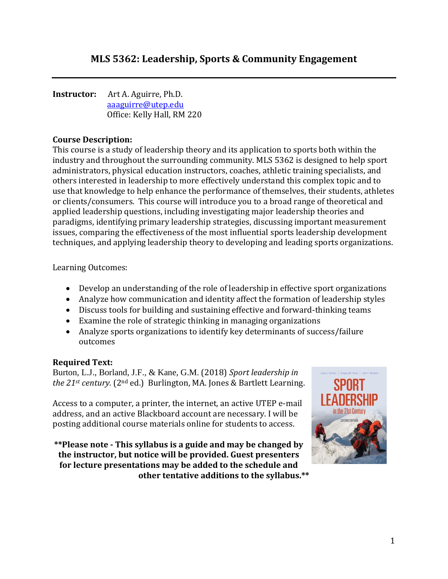**Instructor:** Art A. Aguirre, Ph.D. [aaaguirre@utep.edu](mailto:arthura@unm.edu) Office: Kelly Hall, RM 220

### **Course Description:**

This course is a study of leadership theory and its application to sports both within the industry and throughout the surrounding community. MLS 5362 is designed to help sport administrators, physical education instructors, coaches, athletic training specialists, and others interested in leadership to more effectively understand this complex topic and to use that knowledge to help enhance the performance of themselves, their students, athletes or clients/consumers. This course will introduce you to a broad range of theoretical and applied leadership questions, including investigating major leadership theories and paradigms, identifying primary leadership strategies, discussing important measurement issues, comparing the effectiveness of the most influential sports leadership development techniques, and applying leadership theory to developing and leading sports organizations.

Learning Outcomes:

- Develop an understanding of the role of leadership in effective sport organizations
- Analyze how communication and identity affect the formation of leadership styles
- Discuss tools for building and sustaining effective and forward-thinking teams
- Examine the role of strategic thinking in managing organizations
- Analyze sports organizations to identify key determinants of success/failure outcomes

#### **Required Text:**

Burton, L.J., Borland, J.F., & Kane, G.M. (2018) *Sport leadership in the 21st century.* (2nd ed.) Burlington, MA. Jones & Bartlett Learning.

Access to a computer, a printer, the internet, an active UTEP e-mail address, and an active Blackboard account are necessary. I will be posting additional course materials online for students to access.

**\*\*Please note - This syllabus is a guide and may be changed by the instructor, but notice will be provided. Guest presenters for lecture presentations may be added to the schedule and other tentative additions to the syllabus.\*\***

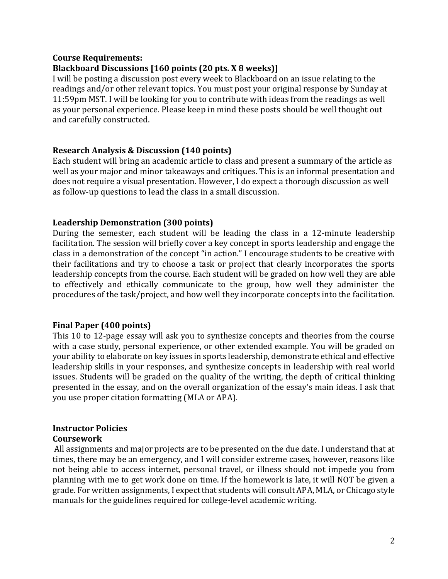#### **Course Requirements:**

#### **Blackboard Discussions [160 points (20 pts. X 8 weeks)]**

I will be posting a discussion post every week to Blackboard on an issue relating to the readings and/or other relevant topics. You must post your original response by Sunday at 11:59pm MST. I will be looking for you to contribute with ideas from the readings as well as your personal experience. Please keep in mind these posts should be well thought out and carefully constructed.

#### **Research Analysis & Discussion (140 points)**

Each student will bring an academic article to class and present a summary of the article as well as your major and minor takeaways and critiques. This is an informal presentation and does not require a visual presentation. However, I do expect a thorough discussion as well as follow-up questions to lead the class in a small discussion.

#### **Leadership Demonstration (300 points)**

During the semester, each student will be leading the class in a 12-minute leadership facilitation. The session will briefly cover a key concept in sports leadership and engage the class in a demonstration of the concept "in action." I encourage students to be creative with their facilitations and try to choose a task or project that clearly incorporates the sports leadership concepts from the course. Each student will be graded on how well they are able to effectively and ethically communicate to the group, how well they administer the procedures of the task/project, and how well they incorporate concepts into the facilitation.

#### **Final Paper (400 points)**

This 10 to 12-page essay will ask you to synthesize concepts and theories from the course with a case study, personal experience, or other extended example. You will be graded on your ability to elaborate on key issues in sports leadership, demonstrate ethical and effective leadership skills in your responses, and synthesize concepts in leadership with real world issues. Students will be graded on the quality of the writing, the depth of critical thinking presented in the essay, and on the overall organization of the essay's main ideas. I ask that you use proper citation formatting (MLA or APA).

#### **Instructor Policies Coursework**

All assignments and major projects are to be presented on the due date. I understand that at times, there may be an emergency, and I will consider extreme cases, however, reasons like not being able to access internet, personal travel, or illness should not impede you from planning with me to get work done on time. If the homework is late, it will NOT be given a grade. For written assignments, I expect that students will consult APA, MLA, or Chicago style manuals for the guidelines required for college-level academic writing.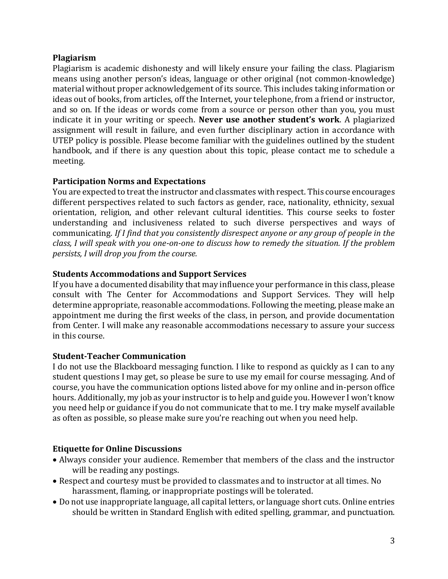#### **Plagiarism**

Plagiarism is academic dishonesty and will likely ensure your failing the class. Plagiarism means using another person's ideas, language or other original (not common-knowledge) material without proper acknowledgement of its source. This includes taking information or ideas out of books, from articles, off the Internet, your telephone, from a friend or instructor, and so on. If the ideas or words come from a source or person other than you, you must indicate it in your writing or speech. **Never use another student's work**. A plagiarized assignment will result in failure, and even further disciplinary action in accordance with UTEP policy is possible. Please become familiar with the guidelines outlined by the student handbook, and if there is any question about this topic, please contact me to schedule a meeting.

#### **Participation Norms and Expectations**

You are expected to treat the instructor and classmates with respect. This course encourages different perspectives related to such factors as gender, race, nationality, ethnicity, sexual orientation, religion, and other relevant cultural identities. This course seeks to foster understanding and inclusiveness related to such diverse perspectives and ways of communicating. *If I find that you consistently disrespect anyone or any group of people in the class, I will speak with you one-on-one to discuss how to remedy the situation. If the problem persists, I will drop you from the course.*

#### **Students Accommodations and Support Services**

If you have a documented disability that may influence your performance in this class, please consult with The Center for Accommodations and Support Services. They will help determine appropriate, reasonable accommodations. Following the meeting, please make an appointment me during the first weeks of the class, in person, and provide documentation from Center. I will make any reasonable accommodations necessary to assure your success in this course.

#### **Student-Teacher Communication**

I do not use the Blackboard messaging function. I like to respond as quickly as I can to any student questions I may get, so please be sure to use my email for course messaging. And of course, you have the communication options listed above for my online and in-person office hours. Additionally, my job as your instructor is to help and guide you. However I won't know you need help or guidance if you do not communicate that to me. I try make myself available as often as possible, so please make sure you're reaching out when you need help.

### **Etiquette for Online Discussions**

- Always consider your audience. Remember that members of the class and the instructor will be reading any postings.
- Respect and courtesy must be provided to classmates and to instructor at all times. No harassment, flaming, or inappropriate postings will be tolerated.
- Do not use inappropriate language, all capital letters, or language short cuts. Online entries should be written in Standard English with edited spelling, grammar, and punctuation.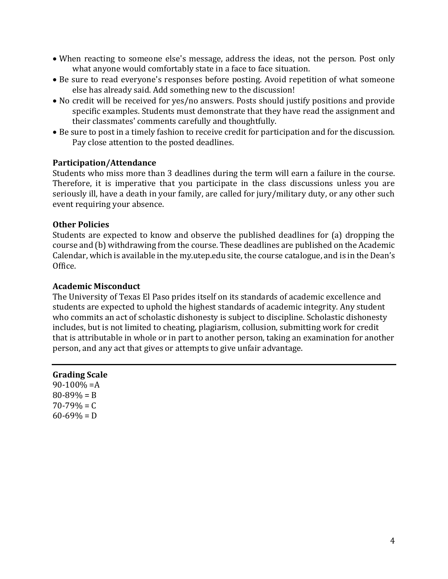- When reacting to someone else's message, address the ideas, not the person. Post only what anyone would comfortably state in a face to face situation.
- Be sure to read everyone's responses before posting. Avoid repetition of what someone else has already said. Add something new to the discussion!
- No credit will be received for yes/no answers. Posts should justify positions and provide specific examples. Students must demonstrate that they have read the assignment and their classmates' comments carefully and thoughtfully.
- Be sure to post in a timely fashion to receive credit for participation and for the discussion. Pay close attention to the posted deadlines.

#### **Participation/Attendance**

Students who miss more than 3 deadlines during the term will earn a failure in the course. Therefore, it is imperative that you participate in the class discussions unless you are seriously ill, have a death in your family, are called for jury/military duty, or any other such event requiring your absence.

#### **Other Policies**

Students are expected to know and observe the published deadlines for (a) dropping the course and (b) withdrawing from the course. These deadlines are published on the Academic Calendar, which is available in the my.utep.edu site, the course catalogue, and is in the Dean's Office.

#### **Academic Misconduct**

The University of Texas El Paso prides itself on its standards of academic excellence and students are expected to uphold the highest standards of academic integrity. Any student who commits an act of scholastic dishonesty is subject to discipline. Scholastic dishonesty includes, but is not limited to cheating, plagiarism, collusion, submitting work for credit that is attributable in whole or in part to another person, taking an examination for another person, and any act that gives or attempts to give unfair advantage.

#### **Grading Scale**  $90-100% = A$  $80 - 89\% = B$  $70 - 79\% = C$  $60-69\% = D$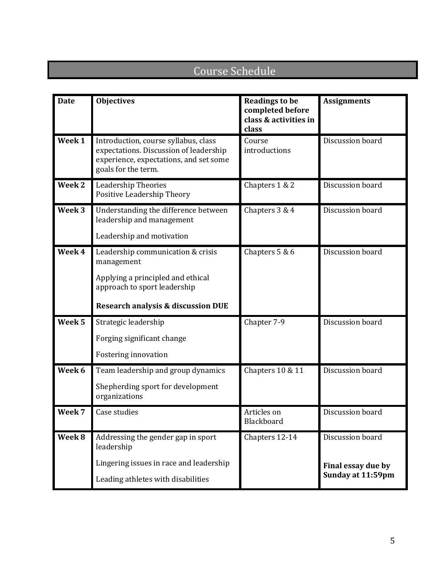## Course Schedule

| <b>Date</b>       | <b>Objectives</b>                                                                                                                               | <b>Readings to be</b><br>completed before<br>class & activities in<br>class | <b>Assignments</b> |
|-------------------|-------------------------------------------------------------------------------------------------------------------------------------------------|-----------------------------------------------------------------------------|--------------------|
| Week 1            | Introduction, course syllabus, class<br>expectations. Discussion of leadership<br>experience, expectations, and set some<br>goals for the term. | Course<br>introductions                                                     | Discussion board   |
| Week 2            | <b>Leadership Theories</b><br>Positive Leadership Theory                                                                                        | Chapters 1 & 2                                                              | Discussion board   |
| Week <sub>3</sub> | Understanding the difference between<br>leadership and management                                                                               | Chapters 3 & 4                                                              | Discussion board   |
|                   | Leadership and motivation                                                                                                                       |                                                                             |                    |
| Week 4            | Leadership communication & crisis<br>management                                                                                                 | Chapters 5 & 6                                                              | Discussion board   |
|                   | Applying a principled and ethical<br>approach to sport leadership                                                                               |                                                                             |                    |
|                   | <b>Research analysis &amp; discussion DUE</b>                                                                                                   |                                                                             |                    |
| Week <sub>5</sub> | Strategic leadership                                                                                                                            | Chapter 7-9                                                                 | Discussion board   |
|                   | Forging significant change                                                                                                                      |                                                                             |                    |
|                   | Fostering innovation                                                                                                                            |                                                                             |                    |
| Week 6            | Team leadership and group dynamics                                                                                                              | Chapters 10 & 11                                                            | Discussion board   |
|                   | Shepherding sport for development<br>organizations                                                                                              |                                                                             |                    |
| Week 7            | Case studies                                                                                                                                    | Articles on<br>Blackboard                                                   | Discussion board   |
| Week 8            | Addressing the gender gap in sport<br>leadership                                                                                                | Chapters 12-14                                                              | Discussion board   |
|                   | Lingering issues in race and leadership                                                                                                         |                                                                             | Final essay due by |
|                   | Leading athletes with disabilities                                                                                                              |                                                                             | Sunday at 11:59pm  |